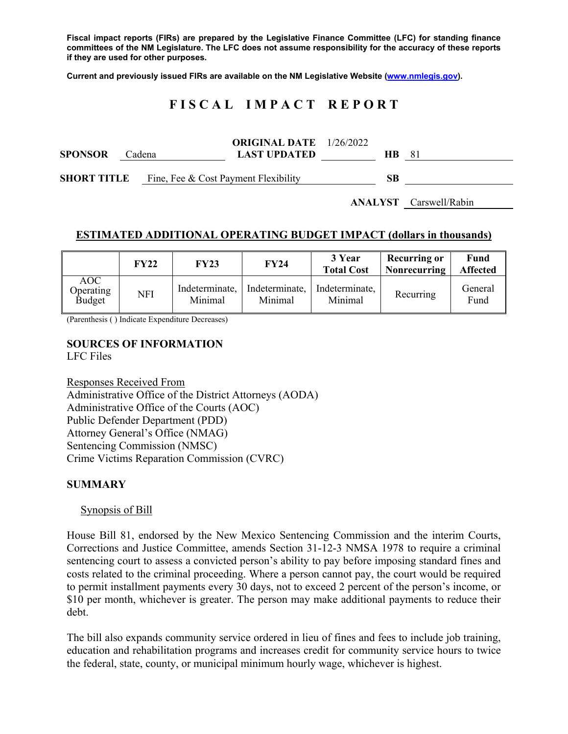**Fiscal impact reports (FIRs) are prepared by the Legislative Finance Committee (LFC) for standing finance committees of the NM Legislature. The LFC does not assume responsibility for the accuracy of these reports if they are used for other purposes.** 

**Current and previously issued FIRs are available on the NM Legislative Website (www.nmlegis.gov).** 

# **F I S C A L I M P A C T R E P O R T**

| <b>SPONSOR</b>     | Cadena |                                      | <b>ORIGINAL DATE</b> $1/26/2022$<br><b>LAST UPDATED</b> | <b>HB</b> | -81 |
|--------------------|--------|--------------------------------------|---------------------------------------------------------|-----------|-----|
| <b>SHORT TITLE</b> |        | Fine, Fee & Cost Payment Flexibility |                                                         | SВ        |     |

**ANALYST** Carswell/Rabin

#### **ESTIMATED ADDITIONAL OPERATING BUDGET IMPACT (dollars in thousands)**

|                                   | FY22 | <b>FY23</b>               | <b>FY24</b>               | 3 Year<br><b>Total Cost</b> | <b>Recurring or</b><br><b>Nonrecurring</b> | Fund<br><b>Affected</b> |
|-----------------------------------|------|---------------------------|---------------------------|-----------------------------|--------------------------------------------|-------------------------|
| AOC<br>Operating<br><b>Budget</b> | NFI  | Indeterminate,<br>Minimal | Indeterminate,<br>Minimal | Indeterminate,<br>Minimal   | Recurring                                  | General<br>Fund         |

(Parenthesis ( ) Indicate Expenditure Decreases)

#### **SOURCES OF INFORMATION**  LFC Files

Responses Received From Administrative Office of the District Attorneys (AODA) Administrative Office of the Courts (AOC) Public Defender Department (PDD) Attorney General's Office (NMAG) Sentencing Commission (NMSC) Crime Victims Reparation Commission (CVRC)

# **SUMMARY**

#### Synopsis of Bill

House Bill 81, endorsed by the New Mexico Sentencing Commission and the interim Courts, Corrections and Justice Committee, amends Section 31-12-3 NMSA 1978 to require a criminal sentencing court to assess a convicted person's ability to pay before imposing standard fines and costs related to the criminal proceeding. Where a person cannot pay, the court would be required to permit installment payments every 30 days, not to exceed 2 percent of the person's income, or \$10 per month, whichever is greater. The person may make additional payments to reduce their debt.

The bill also expands community service ordered in lieu of fines and fees to include job training, education and rehabilitation programs and increases credit for community service hours to twice the federal, state, county, or municipal minimum hourly wage, whichever is highest.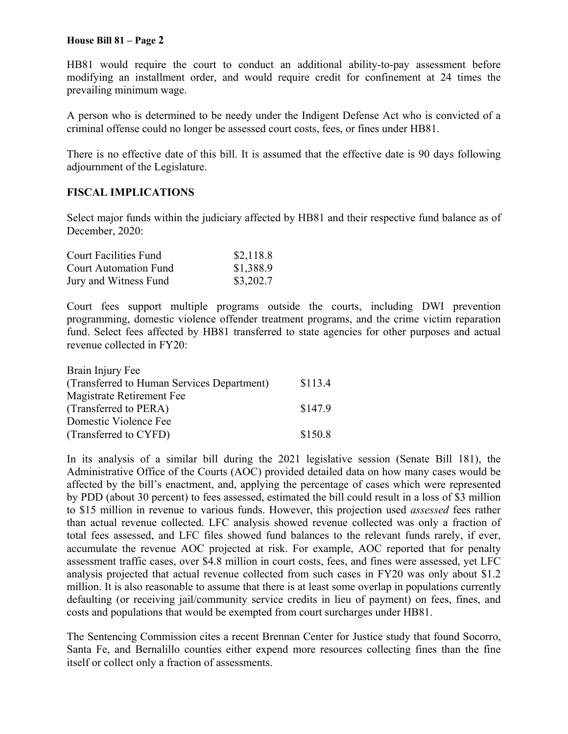#### **House Bill 81 – Page 2**

HB81 would require the court to conduct an additional ability-to-pay assessment before modifying an installment order, and would require credit for confinement at 24 times the prevailing minimum wage.

A person who is determined to be needy under the Indigent Defense Act who is convicted of a criminal offense could no longer be assessed court costs, fees, or fines under HB81.

There is no effective date of this bill. It is assumed that the effective date is 90 days following adjournment of the Legislature.

## **FISCAL IMPLICATIONS**

Select major funds within the judiciary affected by HB81 and their respective fund balance as of December, 2020:

| Court Facilities Fund        | \$2,118.8 |
|------------------------------|-----------|
| <b>Court Automation Fund</b> | \$1,388.9 |
| Jury and Witness Fund        | \$3,202.7 |

Court fees support multiple programs outside the courts, including DWI prevention programming, domestic violence offender treatment programs, and the crime victim reparation fund. Select fees affected by HB81 transferred to state agencies for other purposes and actual revenue collected in FY20:

| Brain Injury Fee                           |         |
|--------------------------------------------|---------|
| (Transferred to Human Services Department) | \$113.4 |
| Magistrate Retirement Fee                  |         |
| (Transferred to PERA)                      | \$147.9 |
| Domestic Violence Fee                      |         |
| (Transferred to CYFD)                      | \$150.8 |

In its analysis of a similar bill during the 2021 legislative session (Senate Bill 181), the Administrative Office of the Courts (AOC) provided detailed data on how many cases would be affected by the bill's enactment, and, applying the percentage of cases which were represented by PDD (about 30 percent) to fees assessed, estimated the bill could result in a loss of \$3 million to \$15 million in revenue to various funds. However, this projection used *assessed* fees rather than actual revenue collected. LFC analysis showed revenue collected was only a fraction of total fees assessed, and LFC files showed fund balances to the relevant funds rarely, if ever, accumulate the revenue AOC projected at risk. For example, AOC reported that for penalty assessment traffic cases, over \$4.8 million in court costs, fees, and fines were assessed, yet LFC analysis projected that actual revenue collected from such cases in FY20 was only about \$1.2 million. It is also reasonable to assume that there is at least some overlap in populations currently defaulting (or receiving jail/community service credits in lieu of payment) on fees, fines, and costs and populations that would be exempted from court surcharges under HB81.

The Sentencing Commission cites a recent Brennan Center for Justice study that found Socorro, Santa Fe, and Bernalillo counties either expend more resources collecting fines than the fine itself or collect only a fraction of assessments.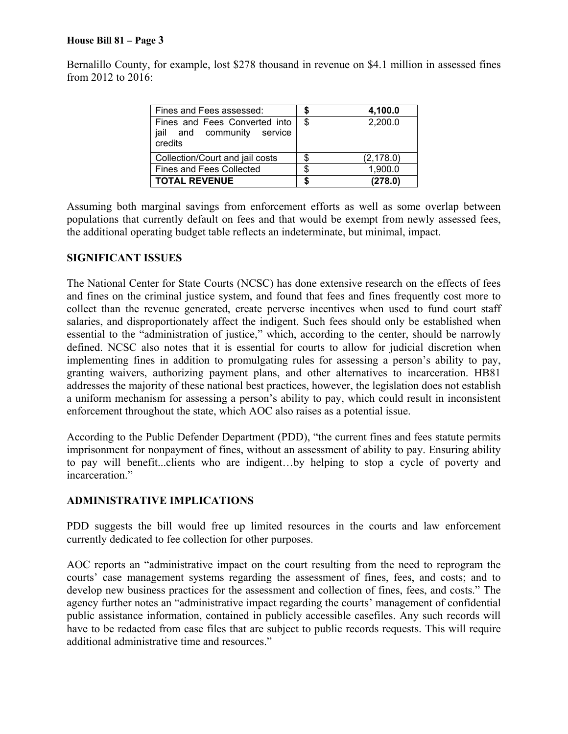#### **House Bill 81 – Page 3**

Bernalillo County, for example, lost \$278 thousand in revenue on \$4.1 million in assessed fines from 2012 to 2016:

| Fines and Fees assessed:                                               | 4,100.0       |
|------------------------------------------------------------------------|---------------|
| Fines and Fees Converted into<br>jail and community service<br>credits | \$<br>2,200.0 |
| Collection/Court and jail costs                                        | (2, 178.0)    |
| <b>Fines and Fees Collected</b>                                        | 1,900.0       |
| <b>TOTAL REVENUE</b>                                                   | (278.0)       |

Assuming both marginal savings from enforcement efforts as well as some overlap between populations that currently default on fees and that would be exempt from newly assessed fees, the additional operating budget table reflects an indeterminate, but minimal, impact.

## **SIGNIFICANT ISSUES**

The National Center for State Courts (NCSC) has done extensive research on the effects of fees and fines on the criminal justice system, and found that fees and fines frequently cost more to collect than the revenue generated, create perverse incentives when used to fund court staff salaries, and disproportionately affect the indigent. Such fees should only be established when essential to the "administration of justice," which, according to the center, should be narrowly defined. NCSC also notes that it is essential for courts to allow for judicial discretion when implementing fines in addition to promulgating rules for assessing a person's ability to pay, granting waivers, authorizing payment plans, and other alternatives to incarceration. HB81 addresses the majority of these national best practices, however, the legislation does not establish a uniform mechanism for assessing a person's ability to pay, which could result in inconsistent enforcement throughout the state, which AOC also raises as a potential issue.

According to the Public Defender Department (PDD), "the current fines and fees statute permits imprisonment for nonpayment of fines, without an assessment of ability to pay. Ensuring ability to pay will benefit...clients who are indigent…by helping to stop a cycle of poverty and incarceration."

# **ADMINISTRATIVE IMPLICATIONS**

PDD suggests the bill would free up limited resources in the courts and law enforcement currently dedicated to fee collection for other purposes.

AOC reports an "administrative impact on the court resulting from the need to reprogram the courts' case management systems regarding the assessment of fines, fees, and costs; and to develop new business practices for the assessment and collection of fines, fees, and costs." The agency further notes an "administrative impact regarding the courts' management of confidential public assistance information, contained in publicly accessible casefiles. Any such records will have to be redacted from case files that are subject to public records requests. This will require additional administrative time and resources."